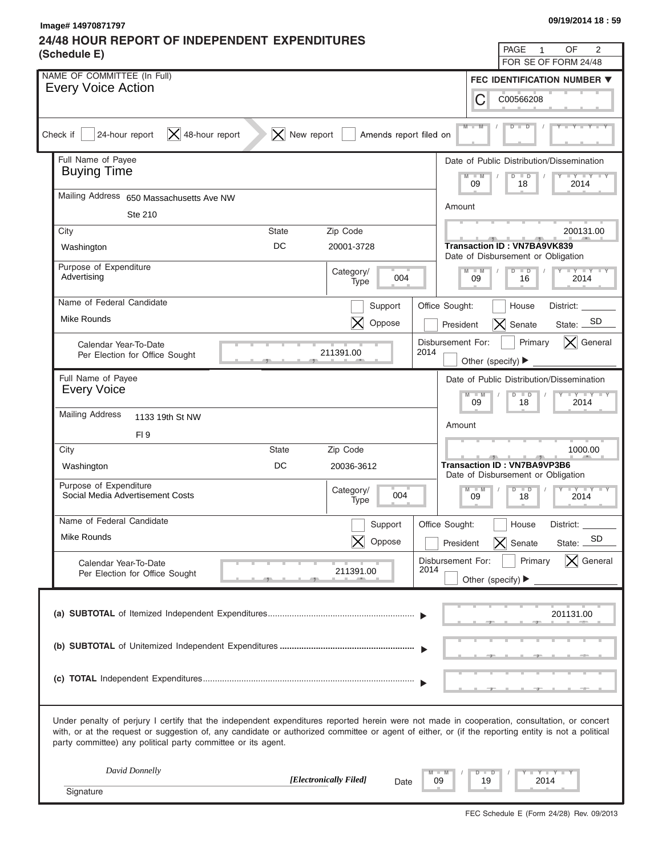## **24/48 HOUR REPORT OF INDEPENDENT EXPENDITURES**

| Image# 14970871797                                                                                                                                                                                                                                                                                                                                                | 09/19/2014 18:59                                                                  |
|-------------------------------------------------------------------------------------------------------------------------------------------------------------------------------------------------------------------------------------------------------------------------------------------------------------------------------------------------------------------|-----------------------------------------------------------------------------------|
| 24/48 HOUR REPORT OF INDEPENDENT EXPENDITURES                                                                                                                                                                                                                                                                                                                     | 2<br>PAGE<br>OF<br>1                                                              |
| (Schedule E)                                                                                                                                                                                                                                                                                                                                                      | FOR SE OF FORM 24/48                                                              |
| NAME OF COMMITTEE (In Full)                                                                                                                                                                                                                                                                                                                                       | <b>FEC IDENTIFICATION NUMBER ▼</b>                                                |
| <b>Every Voice Action</b><br>С                                                                                                                                                                                                                                                                                                                                    | C00566208                                                                         |
| $M$ $M$<br>$ \mathsf{X} $ 48-hour report<br>$ \mathsf{X} $ New report<br>24-hour report<br>Amends report filed on<br>Check if                                                                                                                                                                                                                                     |                                                                                   |
| Full Name of Payee<br><b>Buying Time</b>                                                                                                                                                                                                                                                                                                                          | Date of Public Distribution/Dissemination<br>$Y + Y + Y$                          |
| M<br>$- M$<br>09                                                                                                                                                                                                                                                                                                                                                  | $\blacksquare$<br>D<br>2014<br>18                                                 |
| Mailing Address 650 Massachusetts Ave NW<br>Amount<br>Ste 210                                                                                                                                                                                                                                                                                                     |                                                                                   |
| Zip Code<br>City<br><b>State</b>                                                                                                                                                                                                                                                                                                                                  | 200131.00                                                                         |
| DC<br>20001-3728<br>Washington                                                                                                                                                                                                                                                                                                                                    | <b>Transaction ID: VN7BA9VK839</b><br>Date of Disbursement or Obligation          |
| Purpose of Expenditure<br>Category/<br>$-M$<br>Advertising<br>004<br>09<br>Type                                                                                                                                                                                                                                                                                   | $Y - I - Y - I - Y - I - Y$<br>$D$ $D$<br>2014<br>16                              |
| Name of Federal Candidate                                                                                                                                                                                                                                                                                                                                         |                                                                                   |
| Office Sought:<br>Support<br>Mike Rounds<br>$\bm{\times}$<br>Oppose<br>President                                                                                                                                                                                                                                                                                  | House<br>District:<br>State: SD<br>$\overline{\mathsf{X}}$ Senate                 |
| Disbursement For:<br>Calendar Year-To-Date<br>211391.00<br>2014<br>Per Election for Office Sought                                                                                                                                                                                                                                                                 | Primary<br>$\vert \mathsf{X} \vert$ General<br>Other (specify) ▶                  |
| Full Name of Payee                                                                                                                                                                                                                                                                                                                                                | Date of Public Distribution/Dissemination                                         |
| <b>Every Voice</b><br>$M - M$<br>09                                                                                                                                                                                                                                                                                                                               | $\blacksquare$                                                                    |
| <b>Mailing Address</b><br>1133 19th St NW                                                                                                                                                                                                                                                                                                                         | 2014<br>18                                                                        |
| Amount<br>FI <sub>9</sub>                                                                                                                                                                                                                                                                                                                                         |                                                                                   |
| City<br>Zip Code<br><b>State</b>                                                                                                                                                                                                                                                                                                                                  | 1000.00                                                                           |
| DC<br>Washington<br>20036-3612                                                                                                                                                                                                                                                                                                                                    | <b>Transaction ID: VN7BA9VP3B6</b><br>Date of Disbursement or Obligation          |
| Purpose of Expenditure<br>$M - M$<br>Category/<br>004<br>Social Media Advertisement Costs<br>09<br>Type                                                                                                                                                                                                                                                           | $D$ $D$<br>$-1 - Y$<br>18<br>2014                                                 |
| Name of Federal Candidate<br>Support<br>Office Sought:                                                                                                                                                                                                                                                                                                            | House<br>District: _                                                              |
| Mike Rounds<br>Oppose<br>President                                                                                                                                                                                                                                                                                                                                | SD<br>$\times$<br>Senate<br>State:                                                |
| Disbursement For:<br>Calendar Year-To-Date<br>2014<br>211391.00<br>Per Election for Office Sought                                                                                                                                                                                                                                                                 | Primary<br>$\boldsymbol{\times}$ General<br>Other (specify) $\blacktriangleright$ |
|                                                                                                                                                                                                                                                                                                                                                                   | 201131.00                                                                         |
|                                                                                                                                                                                                                                                                                                                                                                   |                                                                                   |
|                                                                                                                                                                                                                                                                                                                                                                   |                                                                                   |
|                                                                                                                                                                                                                                                                                                                                                                   |                                                                                   |
| Under penalty of perjury I certify that the independent expenditures reported herein were not made in cooperation, consultation, or concert<br>with, or at the request or suggestion of, any candidate or authorized committee or agent of either, or (if the reporting entity is not a political<br>party committee) any political party committee or its agent. |                                                                                   |
| David Donnelly<br>$\blacksquare$ M<br>ъ<br>[Electronically Filed]<br>09<br>Date                                                                                                                                                                                                                                                                                   | $Y - Y - I$<br>$\blacksquare$<br>19<br>2014                                       |
| Signature                                                                                                                                                                                                                                                                                                                                                         |                                                                                   |